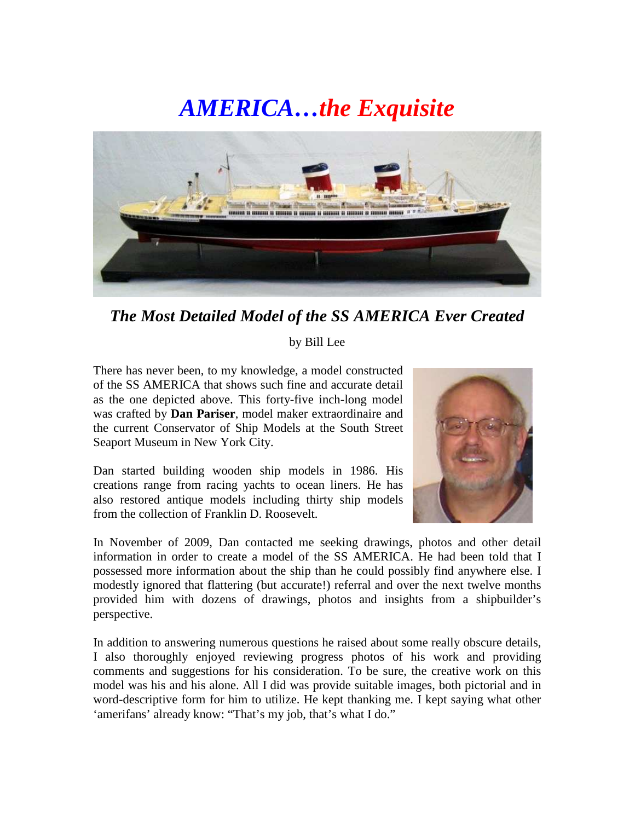## *AMERICA…the Exquisite*



*The Most Detailed Model of the SS AMERICA Ever Created* 

## by Bill Lee

There has never been, to my knowledge, a model constructed of the SS AMERICA that shows such fine and accurate detail as the one depicted above. This forty-five inch-long model was crafted by **Dan Pariser**, model maker extraordinaire and the current Conservator of Ship Models at the South Street Seaport Museum in New York City.

Dan started building wooden ship models in 1986. His creations range from racing yachts to ocean liners. He has also restored antique models including thirty ship models from the collection of Franklin D. Roosevelt.



In November of 2009, Dan contacted me seeking drawings, photos and other detail information in order to create a model of the SS AMERICA. He had been told that I possessed more information about the ship than he could possibly find anywhere else. I modestly ignored that flattering (but accurate!) referral and over the next twelve months provided him with dozens of drawings, photos and insights from a shipbuilder's perspective.

In addition to answering numerous questions he raised about some really obscure details, I also thoroughly enjoyed reviewing progress photos of his work and providing comments and suggestions for his consideration. To be sure, the creative work on this model was his and his alone. All I did was provide suitable images, both pictorial and in word-descriptive form for him to utilize. He kept thanking me. I kept saying what other 'amerifans' already know: "That's my job, that's what I do."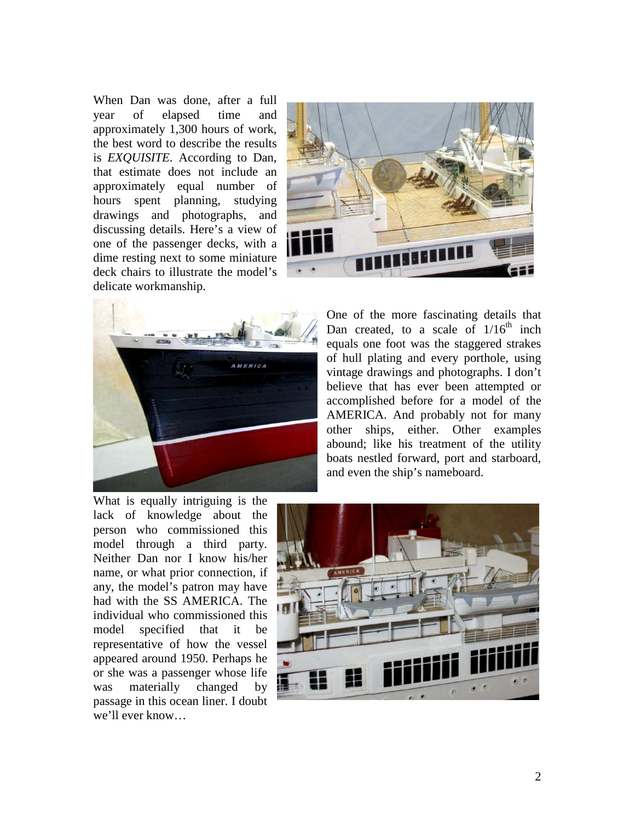When Dan was done, after a full year of elapsed time and approximately 1,300 hours of work, the best word to describe the results is *EXQUISITE*. According to Dan, that estimate does not include an approximately equal number of hours spent planning, studying drawings and photographs, and discussing details. Here's a view of one of the passenger decks, with a dime resting next to some miniature deck chairs to illustrate the model's delicate workmanship.





One of the more fascinating details that Dan created, to a scale of  $1/16<sup>th</sup>$  inch equals one foot was the staggered strakes of hull plating and every porthole, using vintage drawings and photographs. I don't believe that has ever been attempted or accomplished before for a model of the AMERICA. And probably not for many other ships, either. Other examples abound; like his treatment of the utility boats nestled forward, port and starboard, and even the ship's nameboard.

What is equally intriguing is the lack of knowledge about the person who commissioned this model through a third party. Neither Dan nor I know his/her name, or what prior connection, if any, the model's patron may have had with the SS AMERICA. The individual who commissioned this model specified that it be representative of how the vessel appeared around 1950. Perhaps he or she was a passenger whose life was materially changed by passage in this ocean liner. I doubt we'll ever know…

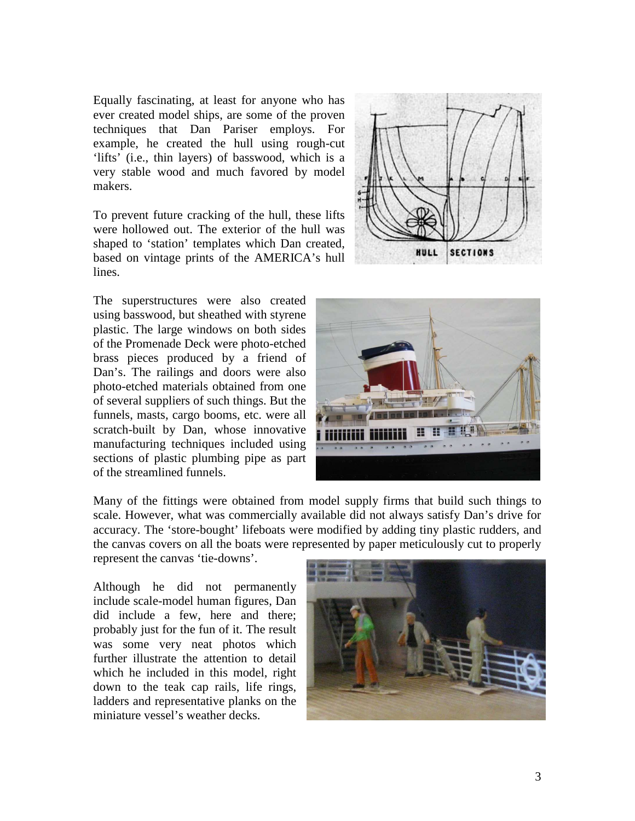Equally fascinating, at least for anyone who has ever created model ships, are some of the proven techniques that Dan Pariser employs. For example, he created the hull using rough-cut 'lifts' (i.e., thin layers) of basswood, which is a very stable wood and much favored by model makers.

To prevent future cracking of the hull, these lifts were hollowed out. The exterior of the hull was shaped to 'station' templates which Dan created, based on vintage prints of the AMERICA's hull lines.

The superstructures were also created using basswood, but sheathed with styrene plastic. The large windows on both sides of the Promenade Deck were photo-etched brass pieces produced by a friend of Dan's. The railings and doors were also photo-etched materials obtained from one of several suppliers of such things. But the funnels, masts, cargo booms, etc. were all scratch-built by Dan, whose innovative manufacturing techniques included using sections of plastic plumbing pipe as part of the streamlined funnels.



**SECTIONS** 

Many of the fittings were obtained from model supply firms that build such things to scale. However, what was commercially available did not always satisfy Dan's drive for accuracy. The 'store-bought' lifeboats were modified by adding tiny plastic rudders, and the canvas covers on all the boats were represented by paper meticulously cut to properly

represent the canvas 'tie-downs'.

Although he did not permanently include scale-model human figures, Dan did include a few, here and there; probably just for the fun of it. The result was some very neat photos which further illustrate the attention to detail which he included in this model, right down to the teak cap rails, life rings, ladders and representative planks on the miniature vessel's weather decks.